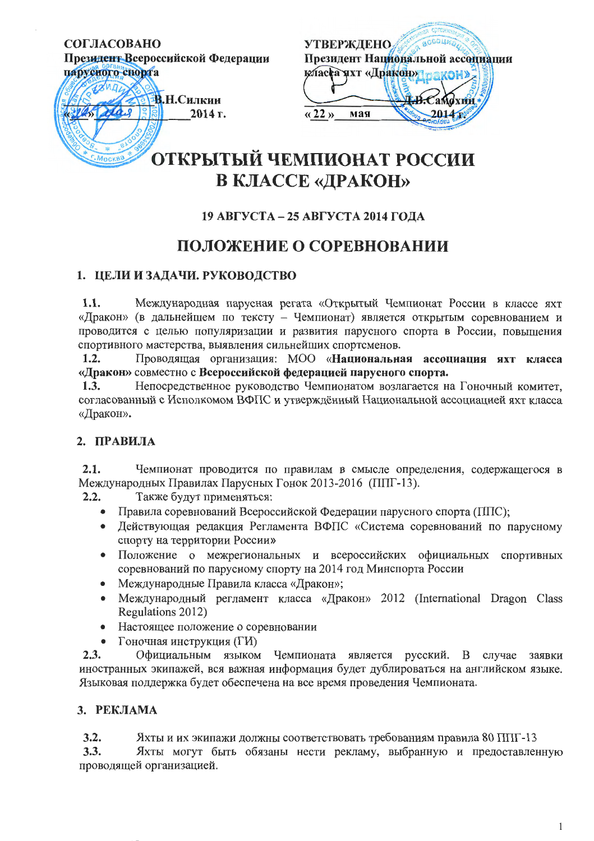#### СОГЛАСОВАНО

Президент Всероссийской Федерации



| <b>УТВЕРЖДЕНО</b>                                                |                                |
|------------------------------------------------------------------|--------------------------------|
|                                                                  | Президент Национальной ассоциа |
| класса чхт «Дракон» гакон»                                       |                                |
|                                                                  |                                |
|                                                                  |                                |
| $\left\langle \left\langle 22\right\rangle \right\rangle$<br>мая |                                |
|                                                                  |                                |

# ОТКРЫТЫЙ ЧЕМПИОНАТ РОССИИ **В КЛАССЕ «ДРАКОН»**

# 19 АВГУСТА – 25 АВГУСТА 2014 ГОЛА

# ПОЛОЖЕНИЕ О СОРЕВНОВАНИИ

# 1. ЦЕЛИ И ЗАДАЧИ. РУКОВОДСТВО

 $1.1.$ Международная парусная регата «Открытый Чемпионат России в классе яхт «Дракон» (в дальнейшем по тексту - Чемпионат) является открытым соревнованием и проводится с целью популяризации и развития парусного спорта в России, повышения спортивного мастерства, выявления сильнейших спортсменов.

Проводящая организация: МОО «Национальная ассоциация яхт класса  $1.2.$ «Дракон» совместно с Всероссийской федерацией парусного спорта.

 $1.3.$ Непосредственное руководство Чемпионатом возлагается на Гоночный комитет, согласованный с Исполкомом ВФПС и утверждённый Национальной ассоциацией яхт класса «Дракон».

# 2. ПРАВИЛА

 $2.1.$ Чемпионат проводится по правилам в смысле определения, содержащегося в Международных Правилах Парусных Гонок 2013-2016 (ППГ-13).

 $2.2.$ Также будут применяться:

- Правила соревнований Всероссийской Федерации парусного спорта (ППС);
- Действующая редакция Регламента ВФПС «Система соревнований по парусному спорту на территории России»
- Положение о межрегиональных и всероссийских официальных спортивных соревнований по парусному спорту на 2014 год Минспорта России
- Международные Правила класса «Дракон»;
- Международный регламент класса «Дракон» 2012 (International Dragon Class Regulations 2012)
- Настоящее положение о соревновании
- Гоночная инструкция (ГИ)

 $2.3.$ Официальным языком Чемпионата является русский. В случае заявки иностранных экипажей, вся важная информация будет дублироваться на английском языке. Языковая поддержка будет обеспечена на все время проведения Чемпионата.

# 3. РЕКЛАМА

 $3.2.$ Яхты и их экипажи должны соответствовать требованиям правила 80 ППГ-13

Яхты могут быть обязаны нести рекламу, выбранную и предоставленную  $3.3.$ проводящей организацией.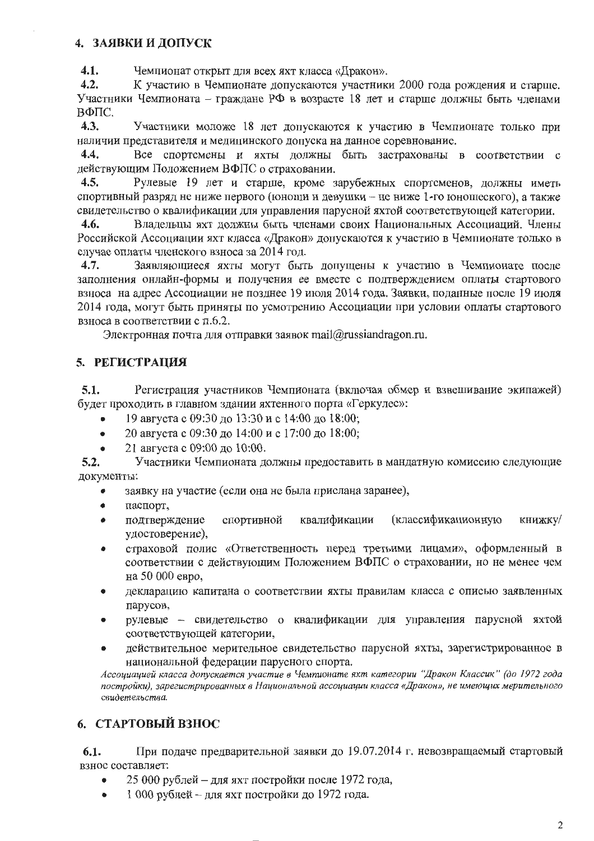# 4. ЗАЯВКИ И ДОПУСК

 $4.1.$ Чемпионат открыт для всех яхт класса «Дракон».

К участию в Чемпионате допускаются участники 2000 года рождения и старше.  $4.2.$ Участники Чемпионата – граждане РФ в возрасте 18 лет и старше должны быть членами ВФПС.

 $4.3.$ Участники моложе 18 лет допускаются к участию в Чемпионате только при наличии представителя и медицинского допуска на данное соревнование.

Все спортсмены и яхты должны быть застрахованы в соответствии с  $4.4.$ действующим Положением ВФПС о страховании.

 $4.5.$ Рулевые 19 лет и старше, кроме зарубежных спортсменов, должны иметь спортивный разряд не ниже первого (юноши и девушки – не ниже 1-го юношеского), а также свидетельство о квалификации для управления парусной яхтой соответствующей категории.

Владельцы яхт должны быть членами своих Национальных Ассоциаций. Члены  $4.6.$ Российской Ассоциации яхт класса «Дракон» допускаются к участию в Чемпионате только в случае оплаты членского взноса за 2014 год.

Заявляющиеся яхты могут быть допущены к участию в Чемпионате после  $4.7.$ заполнения онлайн-формы и получения ее вместе с подтверждением оплаты стартового взноса на адрес Ассоциации не позднее 19 июля 2014 года. Заявки, поданные после 19 июля 2014 года, могут быть приняты по усмотрению Ассоциации при условии оплаты стартового взноса в соответствии с п.6.2.

Электронная почта для отправки заявок mail $@r$ ussiandragon.ru.

# 5. РЕГИСТРАЦИЯ

Регистрация участников Чемпионата (включая обмер и взвешивание экипажей)  $5.1.$ будет проходить в главном здании яхтенного порта «Геркулес»:

- 19 августа с 09:30 до 13:30 и с 14:00 до 18:00;
- 20 августа с 09:30 до 14:00 и с 17:00 до 18:00;  $\bullet$
- 21 августа с 09:00 до 10:00.  $\blacktriangle$

 $5.2.$ Участники Чемпионата должны предоставить в мандатную комиссию следующие документы:

- заявку на участие (если она не была прислана заранее),
- паспорт,  $\bullet$
- квалификации (классификационную книжку/ подтверждение спортивной удостоверение),
- страховой полис «Ответственность перед третьими лицами», оформленный в  $\bullet$ соответствии с действующим Положением ВФПС о страховании, но не менее чем на 50 000 евро,
- декларацию капитана о соответствии яхты правилам класса с описью заявленных  $\bullet$ парусов,
- рулевые свидетельство о квалификации для управления парусной яхтой соответствующей категории,
- действительное мерительное свидетельство парусной яхты, зарегистрированное в национальной федерации парусного спорта.

Ассоциацией класса допускается участие в Чемпионате яхт категории "Дракон Классик" (до 1972 года постройки), зарегистрированных в Национальной ассоциации класса «Дракон», не имеющих мерительного свидетельства.

# 6. СТАРТОВЫЙ ВЗНОС

При подаче предварительной заявки до 19.07.2014 г. невозвращаемый стартовый 6.1. взнос составляет:

- 25 000 рублей для яхт постройки после 1972 года,
- 1 000 рублей для яхт постройки до 1972 года.  $\bullet$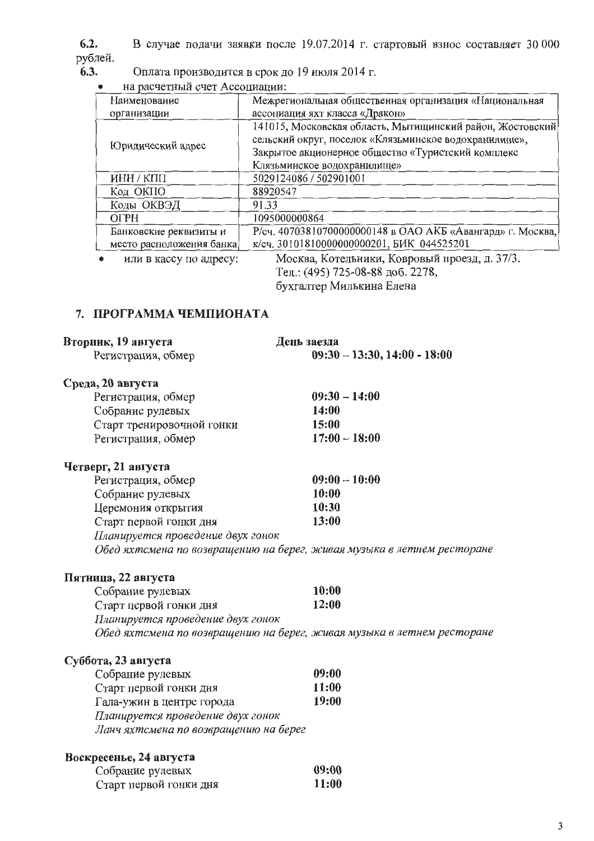$6.2.$ В случае подачи заявки после 19.07.2014 г. стартовый взнос составляет 30 000 рублей.

Оплата производится в срок до 19 июля 2014 г. 6.3.

на расчетный счет Ассоциации:  $\bullet$ 

| Наименование             | Межрегиональная общественная организация «Национальная                                                             |
|--------------------------|--------------------------------------------------------------------------------------------------------------------|
| организации              | ассоциация яхт класса «Дракон»                                                                                     |
| Юридический адрес        | 141015, Московская область, Мытищинский район, Жостовский<br>сельский округ, поселок «Клязьминское водохранилище», |
|                          | Закрытое акционерное общество «Туристский комплекс                                                                 |
|                          | Клязьминское водохранилище»                                                                                        |
| ИНН / КПП                | 5029124086 / 502901001                                                                                             |
| Код ОКПО                 | 88920547                                                                                                           |
| Коды ОКВЭД               | 91.33                                                                                                              |
| <b>OFPH</b>              | 1095000000864                                                                                                      |
| Банковские реквизиты и   | Р/сч. 40703810700000000148 в ОАО АКБ «Авангард» г. Москва,                                                         |
| место расположения банка | к/сч. 30101810000000000201, БИК 044525201                                                                          |
| или в кассу по адресу:   | Москва, Котельники, Ковровый проезд, д. 37/3.<br>Тел.: (495) 725-08-88 доб. 2278,                                  |

бухгалтер Милькина Елена

#### 7. ПРОГРАММА ЧЕМПИОНАТА

| Вторник, 19 августа<br>Регистрация, обмер | День заезда<br>$09:30 - 13:30, 14:00 - 18:00$                          |
|-------------------------------------------|------------------------------------------------------------------------|
| Среда, 20 августа                         |                                                                        |
| Регистрация, обмер                        | $09:30 - 14:00$                                                        |
| Собрание рулевых                          | 14:00                                                                  |
| Старт тренировочной гонки                 | 15:00                                                                  |
| Регистрация, обмер                        | $17:00 - 18:00$                                                        |
| Четверг, 21 августа                       |                                                                        |
| Регистрация, обмер                        | $09:00 - 10:00$                                                        |
| Собрание рулевых                          | 10:00                                                                  |
| Церемония открытия                        | 10:30                                                                  |
| Старт первой гонки дня                    | 13:00                                                                  |
| Планируется проведение двух гонок         |                                                                        |
|                                           | Обед яхтсмена по возвращению на берег, живая музыка в летнем ресторане |
| Пятница, 22 августа                       |                                                                        |
| Собрание рулевых                          | 10:00                                                                  |
| Старт первой гонки дня                    | 12:00                                                                  |
| Планируется проведение двух гонок         |                                                                        |
|                                           | Обед яхтсмена по возвращению на берег, живая музыка в летнем ресторане |
| Суббота, 23 августа                       |                                                                        |
| Собрание рулевых                          | 09:00                                                                  |
| Старт первой гонки дня                    | 11:00                                                                  |
| Гала-ужин в центре города                 | 19:00                                                                  |
| Планируется проведение двух гонок         |                                                                        |
| Ланч яхтсмена по возвращению на берег     |                                                                        |

# Воскресенье, 24 августа

| Собрание рулевых       | 09:00        |
|------------------------|--------------|
| Старт первой гонки дня | <b>11:00</b> |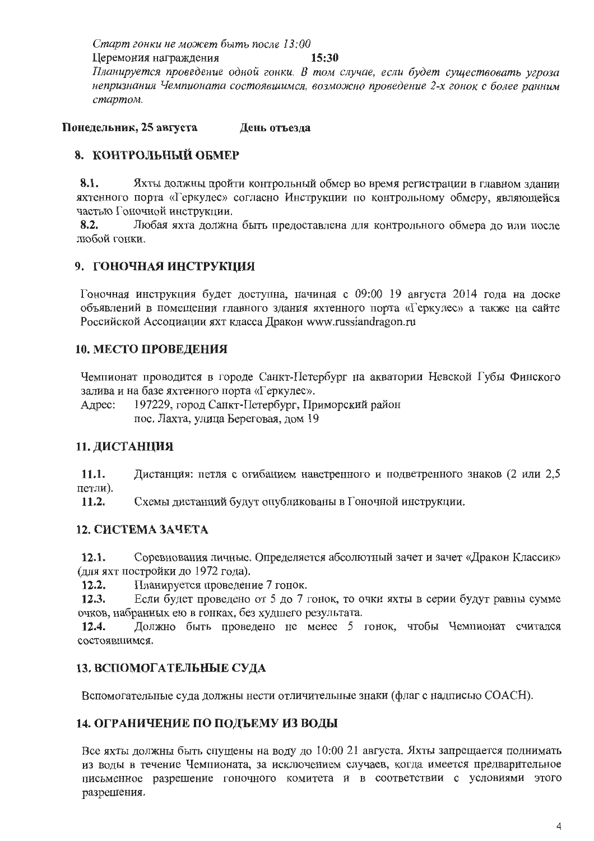Старт гонки не может быть после 13:00 Церемония награждения 15:30 Планируется проведение одной гонки. В том случае, если будет существовать угроза непризнания Чемпионата состоявшимся, возможно проведение 2-х гонок с более ранним стартом.

Понедельник, 25 августа День отъезда

# 8. КОНТРОЛЬНЫЙ ОБМЕР

8.1. Яхты должны пройти контрольный обмер во время регистрации в главном здании яхтенного порта «Геркулес» согласно Инструкции по контрольному обмеру, являющейся частью Гоночной инструкции.

 $8.2.$ Любая яхта должна быть предоставлена для контрольного обмера до или после любой гонки.

# 9. ГОНОЧНАЯ ИНСТРУКЦИЯ

Гоночная инструкция будет доступна, начиная с 09:00 19 августа 2014 года на доске объявлений в помещении главного здания яхтенного порта «Геркулес» а также на сайте Российской Ассоциации яхт класса Дракон www.russiandragon.ru

# 10. МЕСТО ПРОВЕДЕНИЯ

Чемпионат проводится в городе Санкт-Петербург на акватории Невской Губы Финского залива и на базе яхтенного порта «Геркулес».

197229, город Санкт-Петербург, Приморский район Алрес: пос. Лахта, улица Береговая, дом 19

# 11. ДИСТАНЦИЯ

11.1. Дистанция: петля с огибанием наветренного и подветренного знаков (2 или 2,5 петли).

 $11.2.$ Схемы дистанций будут опубликованы в Гоночной инструкции.

# 12. СИСТЕМА ЗАЧЕТА

Соревнования личные. Определяется абсолютный зачет и зачет «Дракон Классик»  $12.1.$ (для яхт постройки до 1972 года).

 $12.2.$ Планируется проведение 7 гонок.

 $12.3.$ Если будет проведено от 5 до 7 гонок, то очки яхты в серии будут равны сумме очков, набранных ею в гонках, без худшего результата.

Должно быть проведено не менее 5 гонок, чтобы Чемпионат считался  $12.4.$ состоявшимся.

# 13. ВСПОМОГАТЕЛЬНЫЕ СУДА

Вспомогательные суда должны нести отличительные знаки (флаг с надписью СОАСН).

# 14. ОГРАНИЧЕНИЕ ПО ПОДЪЕМУ ИЗ ВОДЫ

Все яхты должны быть спущены на воду до 10:00 21 августа. Яхты запрещается поднимать из воды в течение Чемпионата, за исключением случаев, когда имеется предварительное письменное разрешение гоночного комитета и в соответствии с условиями этого разрешения.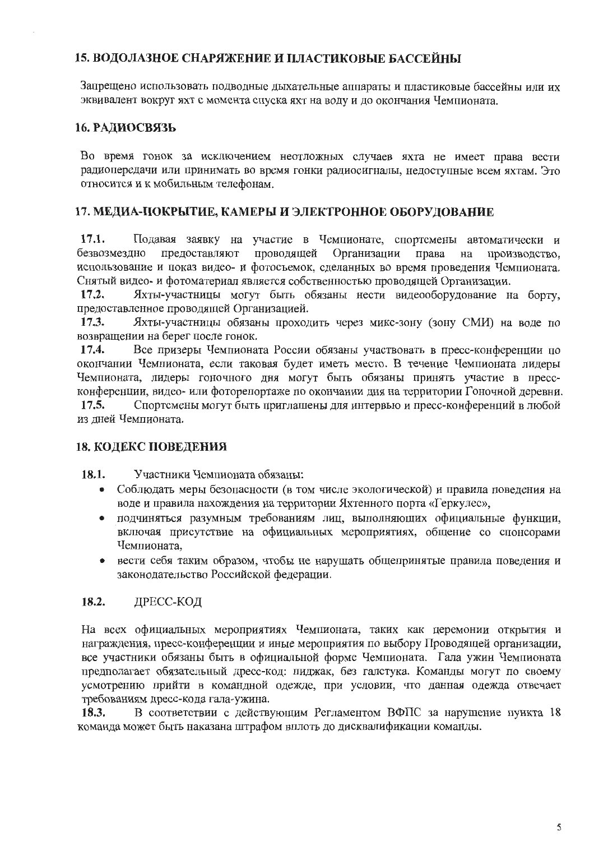# 15. ВОДОЛАЗНОЕ СНАРЯЖЕНИЕ И ПЛАСТИКОВЫЕ БАССЕЙНЫ

Запрещено использовать подводные дыхательные аппараты и пластиковые бассейны или их эквивалент вокруг яхт с момента спуска яхт на воду и до окончания Чемпионата.

#### 16. РАДИОСВЯЗЬ

Во время гонок за исключением неотложных случаев яхта не имеет права вести радиопередачи или принимать во время гонки радиосигналы, недоступные всем яхтам. Это относится и к мобильным телефонам.

### 17. МЕДИА-ПОКРЫТИЕ, КАМЕРЫ И ЭЛЕКТРОННОЕ ОБОРУДОВАНИЕ

 $17.1.$ Подавая заявку на участие в Чемпионате, спортсмены автоматически и безвозмездно предоставляют проводящей Организации права на производство. использование и показ видео- и фотосъемок, сделанных во время проведения Чемпионата. Снятый видео- и фотоматериал является собственностью проводящей Организации.

 $17.2.$ Яхты-участницы могут быть обязаны нести видеооборудование на борту, предоставленное проводящей Организацией.

17.3. Яхты-участницы обязаны проходить через микс-зону (зону СМИ) на воде по возвращении на берег после гонок.

 $17.4.$ Все призеры Чемпионата России обязаны участвовать в пресс-конференции по окончании Чемпионата, если таковая будет иметь место. В течение Чемпионата лидеры Чемпионата, лидеры гоночного дня могут быть обязаны принять участие в прессконференции, видео- или фоторепортаже по окончании дня на территории Гоночной деревни.

Спортсмены могут быть приглашены для интервью и пресс-конференций в любой  $17.5.$ из дней Чемпионата.

# 18. КОДЕКС ПОВЕДЕНИЯ

18.1. Участники Чемпионата обязаны:

- Соблюдать меры безопасности (в том числе экологической) и правила поведения на  $\bullet$ воде и правила нахождения на территории Яхтенного порта «Геркулес»,
- подчиняться разумным требованиям лиц, выполняющих официальные функции,  $\bullet$ включая присутствие на официальных мероприятиях, общение со спонсорами Чемпионата.
- вести себя таким образом, чтобы не нарушать общепринятые правила поведения и  $\bullet$ законодательство Российской федерации.

#### 18.2. ДРЕСС-КОД

На всех официальных мероприятиях Чемпионата, таких как церемонии открытия и награждения, пресс-конференции и иные мероприятия по выбору Проводящей организации, все участники обязаны быть в официальной форме Чемпионата. Гала ужин Чемпионата предполагает обязательный дресс-код: пиджак, без галстука. Команды могут по своему усмотрению прийти в командной одежде, при условии, что данная одежда отвечает требованиям дресс-кода гала-ужина.

В соответствии с действующим Регламентом ВФПС за нарушение пункта 18 18.3. команда может быть наказана штрафом вплоть до дисквалификации команды.